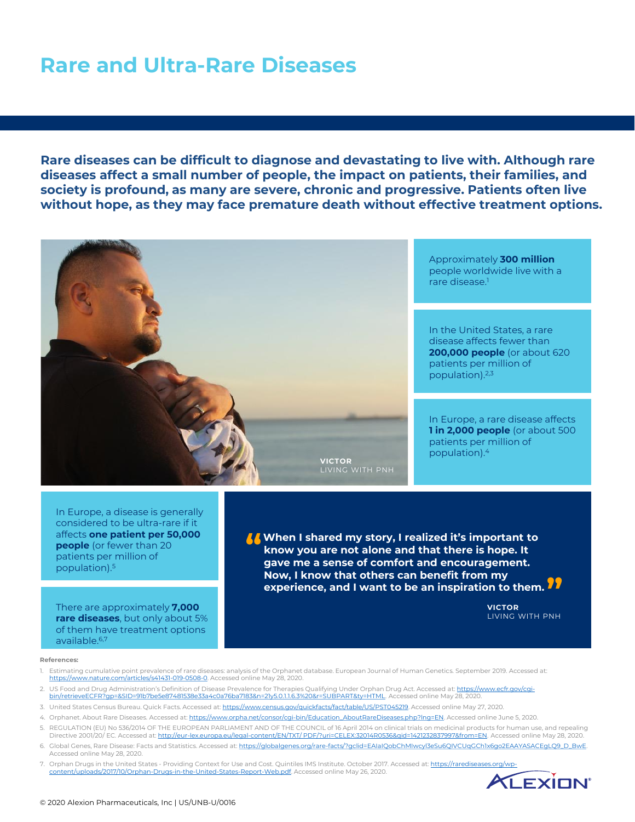# **Rare and Ultra-Rare Diseases**

**Rare diseases can be difficult to diagnose and devastating to live with. Although rare diseases affect a small number of people, the impact on patients, their families, and society is profound, as many are severe, chronic and progressive. Patients often live without hope, as they may face premature death without effective treatment options.** 



In Europe, a disease is generally considered to be ultra-rare if it affects **one patient per 50,000 people** (or fewer than 20 patients per million of population).<sup>5</sup>

There are approximately **7,000 rare diseases**, but only about 5% of them have treatment options available.6,7

**T** When I shared my story, I realized it's important to<br>
know you are not alone and that there is hope. It<br>
gave me a sense of comfort and encouragement. **know you are not alone and that there is hope. It gave me a sense of comfort and encouragement. Now, I know that others can benefit from my experience, and I want to be an inspiration to them. "**

> **VICTOR** LIVING WITH PNH

#### **References:**

- 1. Estimating cumulative point prevalence of rare diseases: analysis of the Orphanet database. European Journal of Human Genetics. September 2019. Accessed at: <https://www.nature.com/articles/s41431-019-0508-0>. Accessed online May 28, 2020.
- 2. US Food and Drug Administration's Definition of Disease Prevalence for Therapies Qualifying Under Orphan Drug Act. Accessed at: https://www.ecfr.gov/cqi[bin/retrieveECFR?gp=&SID=91b7be5e87481538e33a4c0a76ba7183&n=21y5.0.1.1.6.3%20&r=SUBPART&ty=HTML. Accessed online May 28, 2020.](https://www.ecfr.gov/cgi-bin/retrieveECFR?gp=&SID=91b7be5e87481538e33a4c0a76ba7183&n=21y5.0.1.1.6.3%20&r=SUBPART&ty=HTML)
- 3. United States Census Bureau. Quick Facts. Accessed at: [https://www.census.gov/quickfacts/fact/table/US/PST045219.](https://www.census.gov/quickfacts/fact/table/US/PST045219) Accessed online May 27, 2020.
- 4. Orphanet. About Rare Diseases. Accessed at: [https://www.orpha.net/consor/cgi-bin/Education\\_AboutRareDiseases.php?lng=EN](https://www.orpha.net/consor/cgi-bin/Education_AboutRareDiseases.php?lng=EN). Accessed online June 5, 2020.
- 5. REGULATION (EU) No 536/2014 OF THE EUROPEAN PARLIAMENT AND OF THE COUNCIL of 16 April 2014 on clinical trials on medicinal products for human use, and repealing Directive 2001/20/ EC. Accessed at: [http://eur-lex.europa.eu/legal-content/EN/TXT/ PDF/?uri=CELEX:32014R0536&qid=1421232837997&from=EN.](https://eur-lex.europa.eu/legal-content/EN/TXT/%20PDF/?uri=CELEX:32014R0536&qid=1421232837997&from=EN) Accessed online May 28, 2020.
- 6. Global Genes, Rare Disease: Facts and Statistics. Accessed at: [https://globalgenes.org/rare-facts/?gclid=EAIaIQobChMIwcyl3eSu6QIVCUqGCh1x6go2EAAYASACEgLQ9\\_D\\_BwE.](https://globalgenes.org/rare-facts/?gclid=EAIaIQobChMIwcyl3eSu6QIVCUqGCh1x6go2EAAYASACEgLQ9_D_BwE) Accessed online May 28, 2020.
- 7. Orphan Drugs in the United States Providing Context for Use and Cost. Quintiles IMS Institute. October 2017. Accessed at: https://raredise content/uploads/2017/10/Orphan-Drugs-in-the-United-States-Report-Web.pdf. Accessed online May 26, 2020.